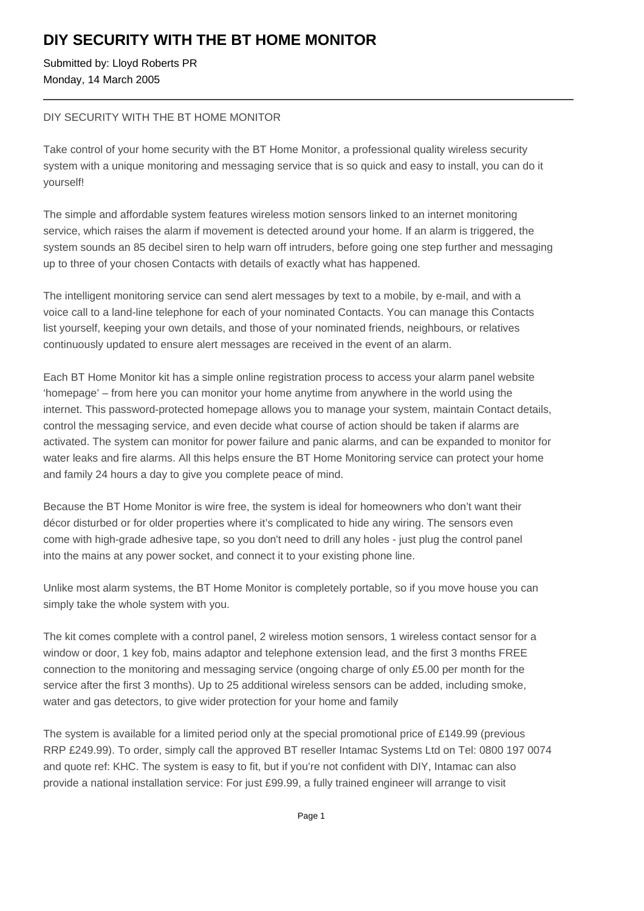## **DIY SECURITY WITH THE BT HOME MONITOR**

Submitted by: Lloyd Roberts PR Monday, 14 March 2005

## DIY SECURITY WITH THE BT HOME MONITOR

Take control of your home security with the BT Home Monitor, a professional quality wireless security system with a unique monitoring and messaging service that is so quick and easy to install, you can do it yourself!

The simple and affordable system features wireless motion sensors linked to an internet monitoring service, which raises the alarm if movement is detected around your home. If an alarm is triggered, the system sounds an 85 decibel siren to help warn off intruders, before going one step further and messaging up to three of your chosen Contacts with details of exactly what has happened.

The intelligent monitoring service can send alert messages by text to a mobile, by e-mail, and with a voice call to a land-line telephone for each of your nominated Contacts. You can manage this Contacts list yourself, keeping your own details, and those of your nominated friends, neighbours, or relatives continuously updated to ensure alert messages are received in the event of an alarm.

Each BT Home Monitor kit has a simple online registration process to access your alarm panel website 'homepage' – from here you can monitor your home anytime from anywhere in the world using the internet. This password-protected homepage allows you to manage your system, maintain Contact details, control the messaging service, and even decide what course of action should be taken if alarms are activated. The system can monitor for power failure and panic alarms, and can be expanded to monitor for water leaks and fire alarms. All this helps ensure the BT Home Monitoring service can protect your home and family 24 hours a day to give you complete peace of mind.

Because the BT Home Monitor is wire free, the system is ideal for homeowners who don't want their décor disturbed or for older properties where it's complicated to hide any wiring. The sensors even come with high-grade adhesive tape, so you don't need to drill any holes - just plug the control panel into the mains at any power socket, and connect it to your existing phone line.

Unlike most alarm systems, the BT Home Monitor is completely portable, so if you move house you can simply take the whole system with you.

The kit comes complete with a control panel, 2 wireless motion sensors, 1 wireless contact sensor for a window or door, 1 key fob, mains adaptor and telephone extension lead, and the first 3 months FREE connection to the monitoring and messaging service (ongoing charge of only £5.00 per month for the service after the first 3 months). Up to 25 additional wireless sensors can be added, including smoke, water and gas detectors, to give wider protection for your home and family

The system is available for a limited period only at the special promotional price of £149.99 (previous RRP £249.99). To order, simply call the approved BT reseller Intamac Systems Ltd on Tel: 0800 197 0074 and quote ref: KHC. The system is easy to fit, but if you're not confident with DIY, Intamac can also provide a national installation service: For just £99.99, a fully trained engineer will arrange to visit